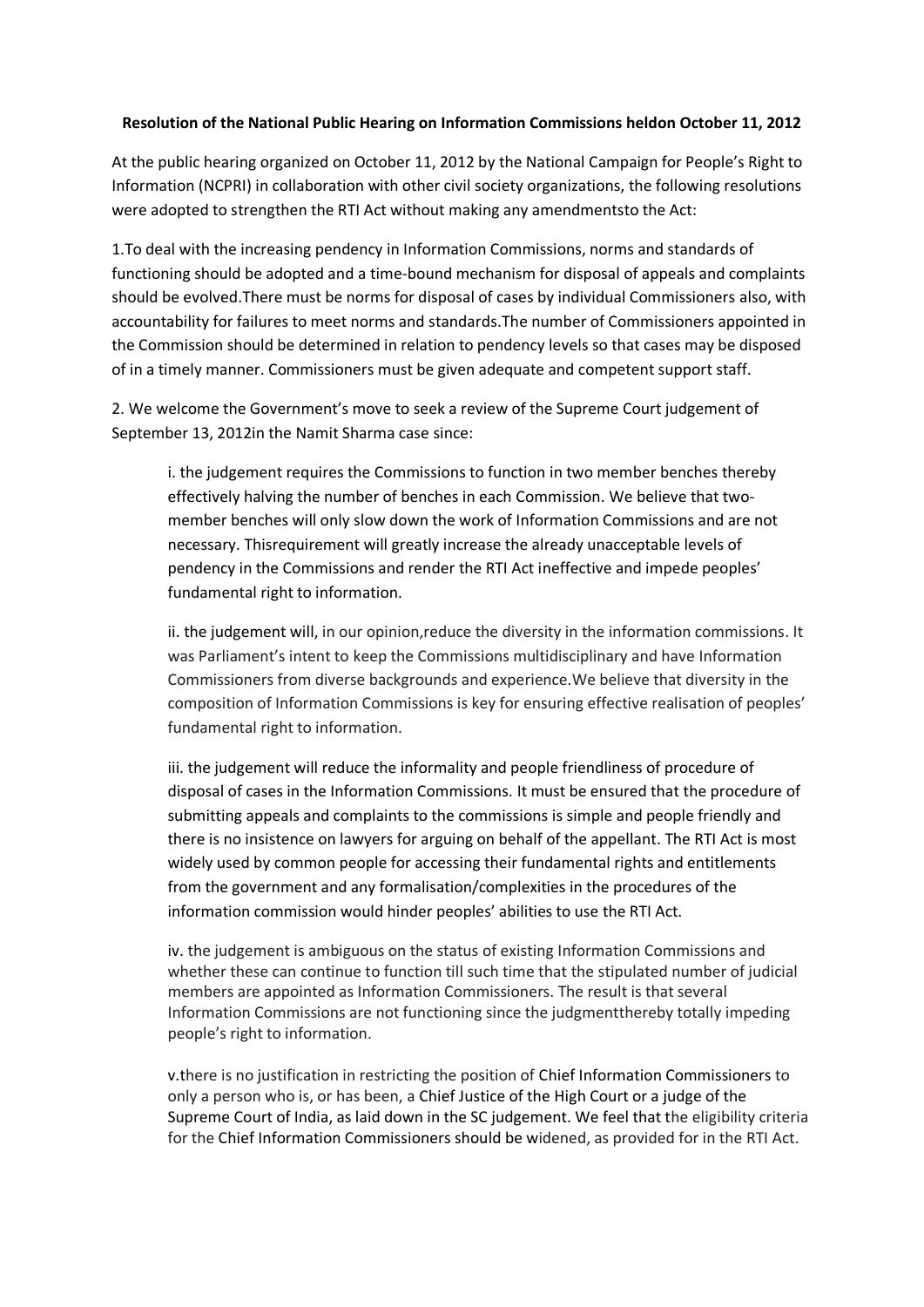## **Resolution of the National Public Hearing on Information Commissions heldon October 11, 2012**

At the public hearing organized on October 11, 2012 by the National Campaign for People's Right to Information (NCPRI) in collaboration with other civil society organizations, the following resolutions were adopted to strengthen the RTI Act without making any amendmentsto the Act:

1.To deal with the increasing pendency in Information Commissions, norms and standards of functioning should be adopted and a time-bound mechanism for disposal of appeals and complaints should be evolved.There must be norms for disposal of cases by individual Commissioners also, with accountability for failures to meet norms and standards.The number of Commissioners appointed in the Commission should be determined in relation to pendency levels so that cases may be disposed of in a timely manner. Commissioners must be given adequate and competent support staff.

2. We welcome the Government's move to seek a review of the Supreme Court judgement of September 13, 2012in the Namit Sharma case since:

i. the judgement requires the Commissions to function in two member benches thereby effectively halving the number of benches in each Commission. We believe that twomember benches will only slow down the work of Information Commissions and are not necessary. Thisrequirement will greatly increase the already unacceptable levels of pendency in the Commissions and render the RTI Act ineffective and impede peoples' fundamental right to information.

ii. the judgement will, in our opinion,reduce the diversity in the information commissions. It was Parliament's intent to keep the Commissions multidisciplinary and have Information Commissioners from diverse backgrounds and experience.We believe that diversity in the composition of Information Commissions is key for ensuring effective realisation of peoples' fundamental right to information.

iii. the judgement will reduce the informality and people friendliness of procedure of disposal of cases in the Information Commissions. It must be ensured that the procedure of submitting appeals and complaints to the commissions is simple and people friendly and there is no insistence on lawyers for arguing on behalf of the appellant. The RTI Act is most widely used by common people for accessing their fundamental rights and entitlements from the government and any formalisation/complexities in the procedures of the information commission would hinder peoples' abilities to use the RTI Act.

iv. the judgement is ambiguous on the status of existing Information Commissions and whether these can continue to function till such time that the stipulated number of judicial members are appointed as Information Commissioners. The result is that several Information Commissions are not functioning since the judgmentthereby totally impeding people's right to information.

v.there is no justification in restricting the position of Chief Information Commissioners to only a person who is, or has been, a Chief Justice of the High Court or a judge of the Supreme Court of India, as laid down in the SC judgement. We feel that the eligibility criteria for the Chief Information Commissioners should be widened, as provided for in the RTI Act.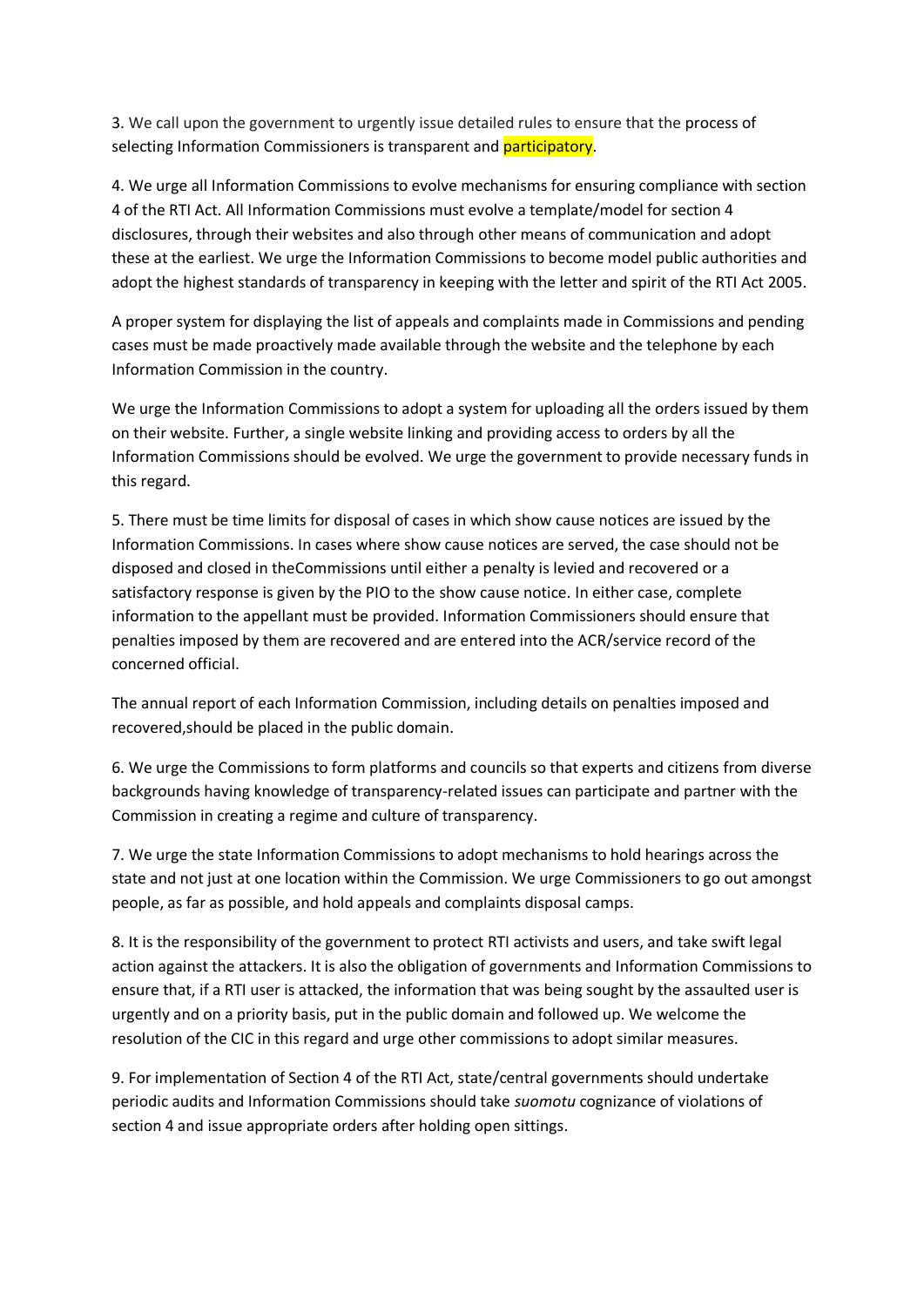3. We call upon the government to urgently issue detailed rules to ensure that the process of selecting Information Commissioners is transparent and participatory.

4. We urge all Information Commissions to evolve mechanisms for ensuring compliance with section 4 of the RTI Act. All Information Commissions must evolve a template/model for section 4 disclosures, through their websites and also through other means of communication and adopt these at the earliest. We urge the Information Commissions to become model public authorities and adopt the highest standards of transparency in keeping with the letter and spirit of the RTI Act 2005.

A proper system for displaying the list of appeals and complaints made in Commissions and pending cases must be made proactively made available through the website and the telephone by each Information Commission in the country.

We urge the Information Commissions to adopt a system for uploading all the orders issued by them on their website. Further, a single website linking and providing access to orders by all the Information Commissions should be evolved. We urge the government to provide necessary funds in this regard.

5. There must be time limits for disposal of cases in which show cause notices are issued by the Information Commissions. In cases where show cause notices are served, the case should not be disposed and closed in theCommissions until either a penalty is levied and recovered or a satisfactory response is given by the PIO to the show cause notice. In either case, complete information to the appellant must be provided. Information Commissioners should ensure that penalties imposed by them are recovered and are entered into the ACR/service record of the concerned official.

The annual report of each Information Commission, including details on penalties imposed and recovered,should be placed in the public domain.

6. We urge the Commissions to form platforms and councils so that experts and citizens from diverse backgrounds having knowledge of transparency-related issues can participate and partner with the Commission in creating a regime and culture of transparency.

7. We urge the state Information Commissions to adopt mechanisms to hold hearings across the state and not just at one location within the Commission. We urge Commissioners to go out amongst people, as far as possible, and hold appeals and complaints disposal camps.

8. It is the responsibility of the government to protect RTI activists and users, and take swift legal action against the attackers. It is also the obligation of governments and Information Commissions to ensure that, if a RTI user is attacked, the information that was being sought by the assaulted user is urgently and on a priority basis, put in the public domain and followed up. We welcome the resolution of the CIC in this regard and urge other commissions to adopt similar measures.

9. For implementation of Section 4 of the RTI Act, state/central governments should undertake periodic audits and Information Commissions should take *suomotu* cognizance of violations of section 4 and issue appropriate orders after holding open sittings.